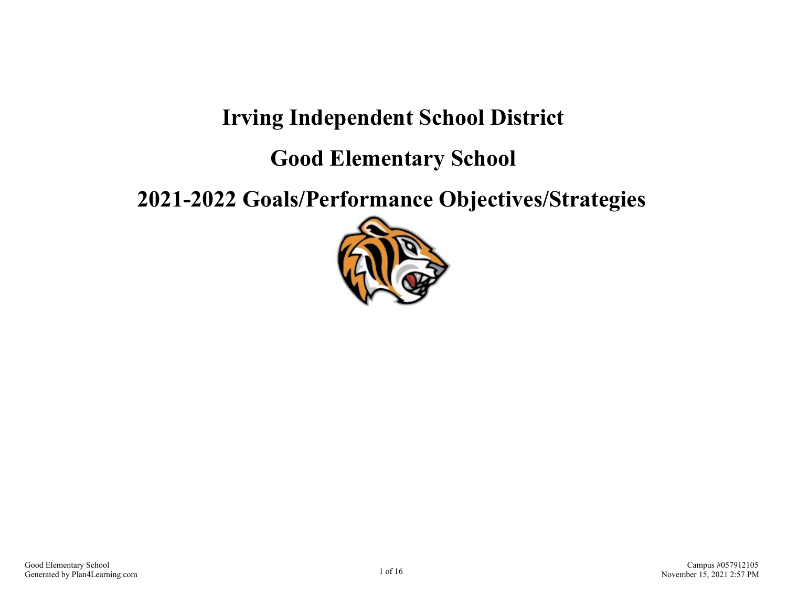## **Irving Independent School District**

**Good Elementary School**

**2021-2022 Goals/Performance Objectives/Strategies**

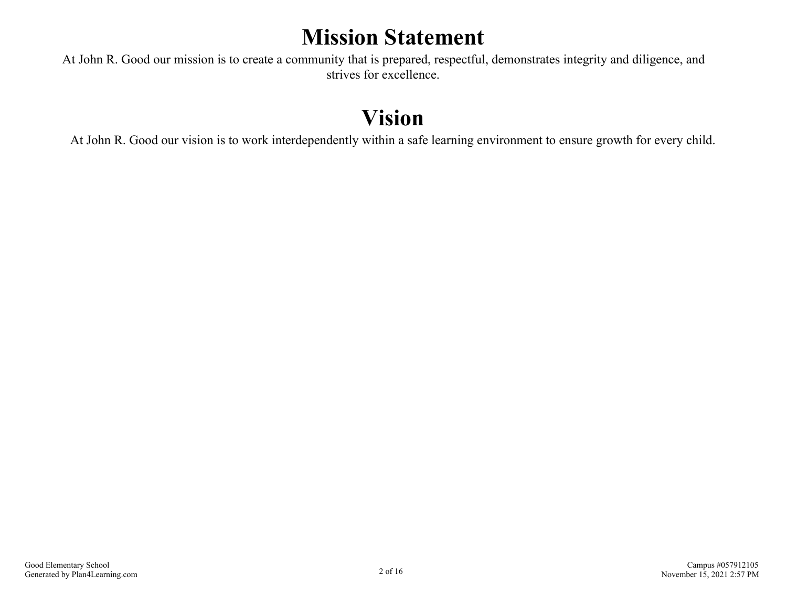## **Mission Statement**

At John R. Good our mission is to create a community that is prepared, respectful, demonstrates integrity and diligence, and strives for excellence.

# **Vision**

At John R. Good our vision is to work interdependently within a safe learning environment to ensure growth for every child.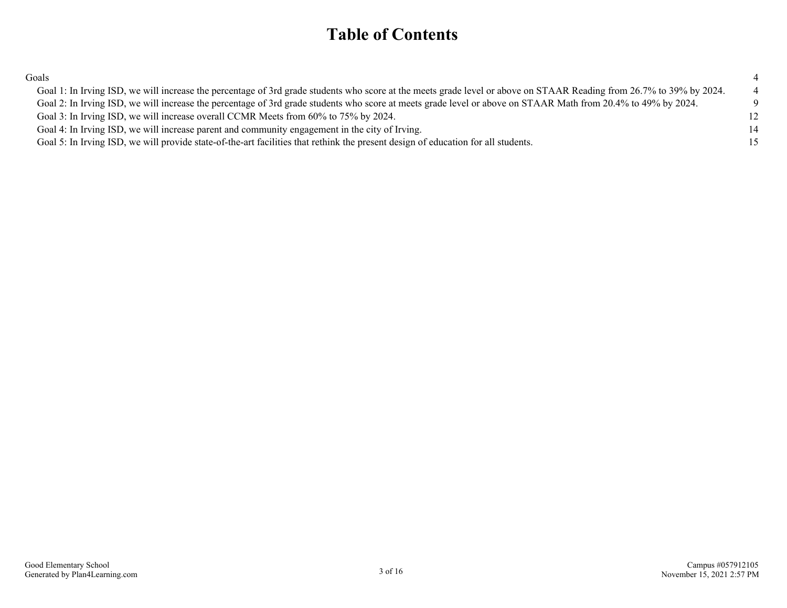## **Table of Contents**

[Goals](#page-3-0) and the contract of the contract of the contract of the contract of the contract of the contract of the contract of the contract of the contract of the contract of the contract of the contract of the contract of the

| Goal 1: In Irving ISD, we will increase the percentage of 3rd grade students who score at the meets grade level or above on STAAR Reading from 26.7% to 39% by 2024. | $\overline{4}$ |
|----------------------------------------------------------------------------------------------------------------------------------------------------------------------|----------------|
| Goal 2: In Irving ISD, we will increase the percentage of 3rd grade students who score at meets grade level or above on STAAR Math from 20.4% to 49% by 2024.        |                |
| Goal 3: In Irving ISD, we will increase overall CCMR Meets from 60% to 75% by 2024.                                                                                  | 12             |
| Goal 4: In Irving ISD, we will increase parent and community engagement in the city of Irving.                                                                       | 14             |
| Goal 5: In Irving ISD, we will provide state-of-the-art facilities that rethink the present design of education for all students.                                    | 15             |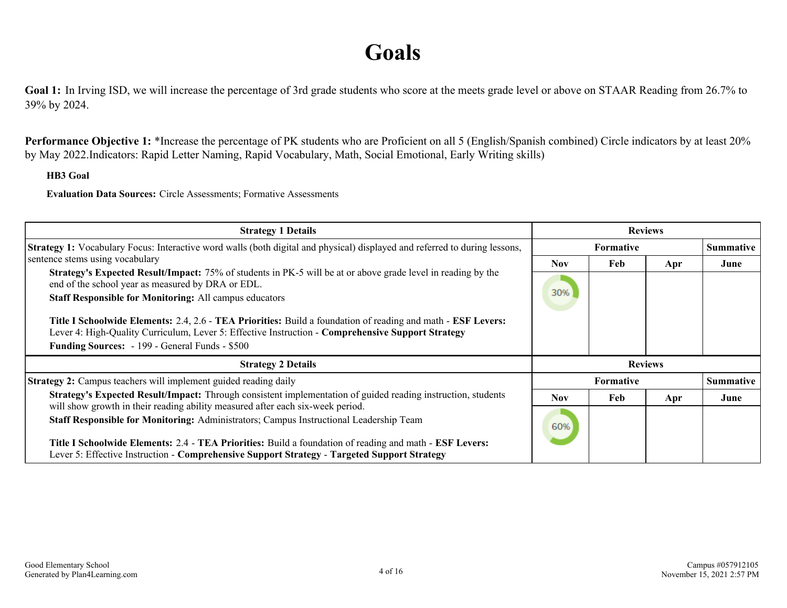## **Goals**

<span id="page-3-0"></span>Goal 1: In Irving ISD, we will increase the percentage of 3rd grade students who score at the meets grade level or above on STAAR Reading from 26.7% to 39% by 2024.

Performance Objective 1: \*Increase the percentage of PK students who are Proficient on all 5 (English/Spanish combined) Circle indicators by at least 20% by May 2022.Indicators: Rapid Letter Naming, Rapid Vocabulary, Math, Social Emotional, Early Writing skills)

#### **HB3 Goal**

**Evaluation Data Sources:** Circle Assessments; Formative Assessments

| <b>Strategy 1 Details</b>                                                                                                                                                                                         | <b>Reviews</b> |                  |     |                  |
|-------------------------------------------------------------------------------------------------------------------------------------------------------------------------------------------------------------------|----------------|------------------|-----|------------------|
| Strategy 1: Vocabulary Focus: Interactive word walls (both digital and physical) displayed and referred to during lessons,                                                                                        |                | Formative        |     | <b>Summative</b> |
| sentence stems using vocabulary                                                                                                                                                                                   | Nov.           | Feb              | Apr | June             |
| <b>Strategy's Expected Result/Impact:</b> 75% of students in PK-5 will be at or above grade level in reading by the<br>end of the school year as measured by DRA or EDL.                                          |                |                  |     |                  |
| <b>Staff Responsible for Monitoring: All campus educators</b>                                                                                                                                                     | 30%            |                  |     |                  |
| Title I Schoolwide Elements: 2.4, 2.6 - TEA Priorities: Build a foundation of reading and math - ESF Levers:<br>Lever 4: High-Quality Curriculum, Lever 5: Effective Instruction - Comprehensive Support Strategy |                |                  |     |                  |
| Funding Sources: - 199 - General Funds - \$500                                                                                                                                                                    |                |                  |     |                  |
| <b>Strategy 2 Details</b>                                                                                                                                                                                         |                |                  |     |                  |
| Strategy 2: Campus teachers will implement guided reading daily                                                                                                                                                   |                | <b>Formative</b> |     | <b>Summative</b> |
| Strategy's Expected Result/Impact: Through consistent implementation of guided reading instruction, students<br>will show growth in their reading ability measured after each six-week period.                    | <b>Nov</b>     | <b>Feb</b>       | Apr | June             |
| Staff Responsible for Monitoring: Administrators; Campus Instructional Leadership Team                                                                                                                            | 60%            |                  |     |                  |
| Title I Schoolwide Elements: 2.4 - TEA Priorities: Build a foundation of reading and math - ESF Levers:                                                                                                           |                |                  |     |                  |
| Lever 5: Effective Instruction - Comprehensive Support Strategy - Targeted Support Strategy                                                                                                                       |                |                  |     |                  |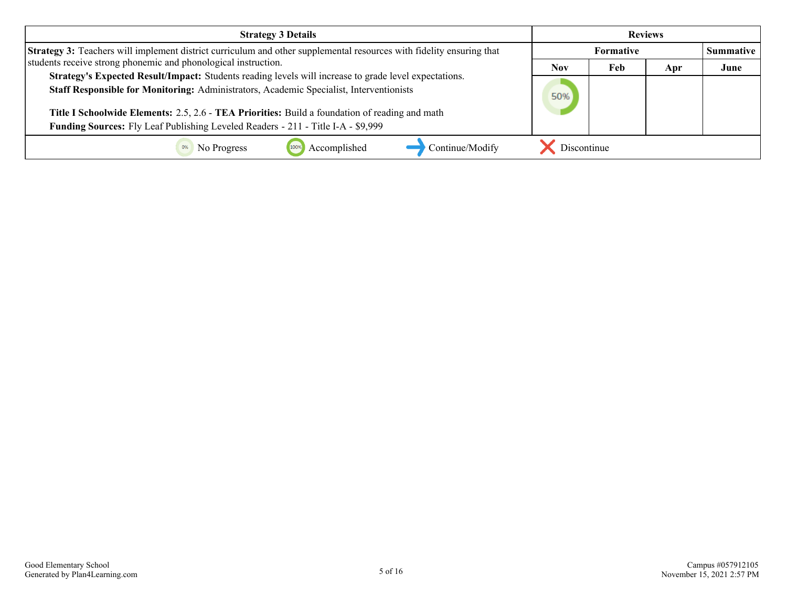| <b>Strategy 3 Details</b>                                                                                                                                                                                                                                                                                                                                                              | <b>Reviews</b> |                  |     |                  |
|----------------------------------------------------------------------------------------------------------------------------------------------------------------------------------------------------------------------------------------------------------------------------------------------------------------------------------------------------------------------------------------|----------------|------------------|-----|------------------|
| <b>Strategy 3:</b> Teachers will implement district curriculum and other supplemental resources with fidelity ensuring that                                                                                                                                                                                                                                                            |                | <b>Formative</b> |     | <b>Summative</b> |
| students receive strong phonemic and phonological instruction.                                                                                                                                                                                                                                                                                                                         | Nov            | Feb              | Apr | June             |
| Strategy's Expected Result/Impact: Students reading levels will increase to grade level expectations.<br>Staff Responsible for Monitoring: Administrators, Academic Specialist, Interventionists<br>Title I Schoolwide Elements: 2.5, 2.6 - TEA Priorities: Build a foundation of reading and math<br>Funding Sources: Fly Leaf Publishing Leveled Readers - 211 - Title I-A - \$9,999 | 50%            |                  |     |                  |
| Continue/Modify<br>Accomplished<br>No Progress                                                                                                                                                                                                                                                                                                                                         | Discontinue    |                  |     |                  |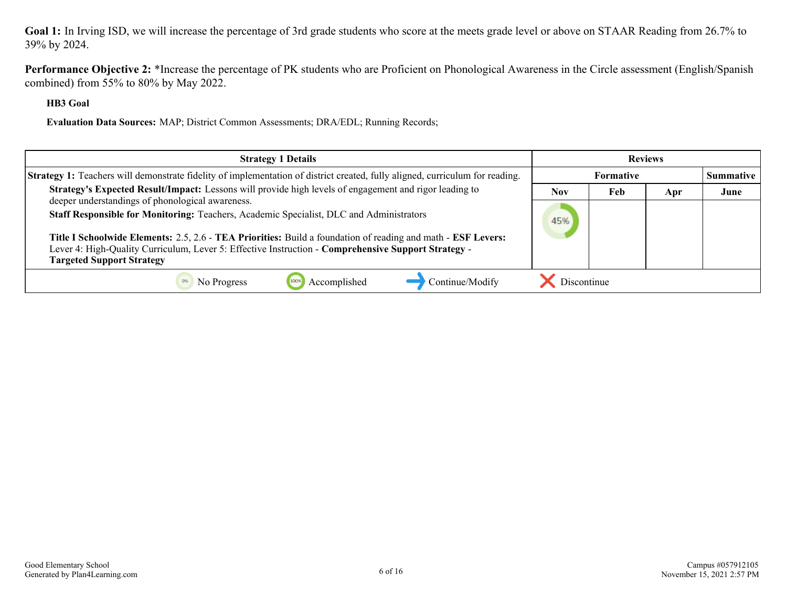**Goal 1:** In Irving ISD, we will increase the percentage of 3rd grade students who score at the meets grade level or above on STAAR Reading from 26.7% to 39% by 2024.

**Performance Objective 2:** \*Increase the percentage of PK students who are Proficient on Phonological Awareness in the Circle assessment (English/Spanish combined) from 55% to 80% by May 2022.

**HB3 Goal**

**Evaluation Data Sources:** MAP; District Common Assessments; DRA/EDL; Running Records;

| <b>Strategy 1 Details</b>                                                                                                                                                                                                                               | <b>Reviews</b> |           |     |                  |
|---------------------------------------------------------------------------------------------------------------------------------------------------------------------------------------------------------------------------------------------------------|----------------|-----------|-----|------------------|
| <b>Strategy 1:</b> Teachers will demonstrate fidelity of implementation of district created, fully aligned, curriculum for reading.                                                                                                                     |                | Formative |     | <b>Summative</b> |
| Strategy's Expected Result/Impact: Lessons will provide high levels of engagement and rigor leading to<br>deeper understandings of phonological awareness.                                                                                              | <b>Nov</b>     | Feb       | Apr | June             |
| Staff Responsible for Monitoring: Teachers, Academic Specialist, DLC and Administrators                                                                                                                                                                 | 45%            |           |     |                  |
| Title I Schoolwide Elements: 2.5, 2.6 - TEA Priorities: Build a foundation of reading and math - ESF Levers:<br>Lever 4: High-Quality Curriculum, Lever 5: Effective Instruction - Comprehensive Support Strategy -<br><b>Targeted Support Strategy</b> |                |           |     |                  |
| Accomplished<br>Continue/Modify<br>No Progress                                                                                                                                                                                                          | Discontinue    |           |     |                  |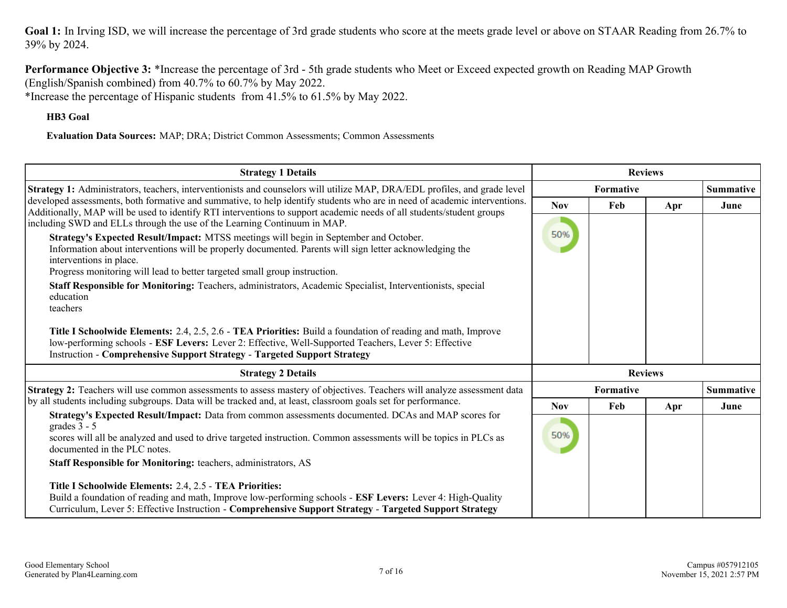Goal 1: In Irving ISD, we will increase the percentage of 3rd grade students who score at the meets grade level or above on STAAR Reading from 26.7% to 39% by 2024.

**Performance Objective 3:** \*Increase the percentage of 3rd - 5th grade students who Meet or Exceed expected growth on Reading MAP Growth (English/Spanish combined) from 40.7% to 60.7% by May 2022. \*Increase the percentage of Hispanic students from 41.5% to 61.5% by May 2022.

**HB3 Goal**

**Evaluation Data Sources:** MAP; DRA; District Common Assessments; Common Assessments

| <b>Strategy 1 Details</b>                                                                                                                                                                                                                                                                                                                                                                                                                                                                                                                                                                                                                                                                                                                                                                                                                                                                                                                                                                                 | <b>Reviews</b>    |                               |                |                  |
|-----------------------------------------------------------------------------------------------------------------------------------------------------------------------------------------------------------------------------------------------------------------------------------------------------------------------------------------------------------------------------------------------------------------------------------------------------------------------------------------------------------------------------------------------------------------------------------------------------------------------------------------------------------------------------------------------------------------------------------------------------------------------------------------------------------------------------------------------------------------------------------------------------------------------------------------------------------------------------------------------------------|-------------------|-------------------------------|----------------|------------------|
| Strategy 1: Administrators, teachers, interventionists and counselors will utilize MAP, DRA/EDL profiles, and grade level                                                                                                                                                                                                                                                                                                                                                                                                                                                                                                                                                                                                                                                                                                                                                                                                                                                                                 |                   | Formative                     |                | <b>Summative</b> |
| developed assessments, both formative and summative, to help identify students who are in need of academic interventions.<br>Additionally, MAP will be used to identify RTI interventions to support academic needs of all students/student groups<br>including SWD and ELLs through the use of the Learning Continuum in MAP.<br>Strategy's Expected Result/Impact: MTSS meetings will begin in September and October.<br>Information about interventions will be properly documented. Parents will sign letter acknowledging the<br>interventions in place.<br>Progress monitoring will lead to better targeted small group instruction.<br>Staff Responsible for Monitoring: Teachers, administrators, Academic Specialist, Interventionists, special<br>education<br>teachers<br>Title I Schoolwide Elements: 2.4, 2.5, 2.6 - TEA Priorities: Build a foundation of reading and math, Improve<br>low-performing schools - ESF Levers: Lever 2: Effective, Well-Supported Teachers, Lever 5: Effective | <b>Nov</b><br>50% | Feb                           | Apr            | June             |
| <b>Instruction - Comprehensive Support Strategy - Targeted Support Strategy</b>                                                                                                                                                                                                                                                                                                                                                                                                                                                                                                                                                                                                                                                                                                                                                                                                                                                                                                                           |                   |                               |                |                  |
| <b>Strategy 2 Details</b>                                                                                                                                                                                                                                                                                                                                                                                                                                                                                                                                                                                                                                                                                                                                                                                                                                                                                                                                                                                 |                   |                               | <b>Reviews</b> |                  |
| Strategy 2: Teachers will use common assessments to assess mastery of objectives. Teachers will analyze assessment data                                                                                                                                                                                                                                                                                                                                                                                                                                                                                                                                                                                                                                                                                                                                                                                                                                                                                   |                   | Formative<br><b>Summative</b> |                |                  |
| by all students including subgroups. Data will be tracked and, at least, classroom goals set for performance.<br>Strategy's Expected Result/Impact: Data from common assessments documented. DCAs and MAP scores for                                                                                                                                                                                                                                                                                                                                                                                                                                                                                                                                                                                                                                                                                                                                                                                      | <b>Nov</b>        | Feb                           | Apr            | June             |
| grades $3 - 5$<br>scores will all be analyzed and used to drive targeted instruction. Common assessments will be topics in PLCs as<br>documented in the PLC notes.<br>Staff Responsible for Monitoring: teachers, administrators, AS                                                                                                                                                                                                                                                                                                                                                                                                                                                                                                                                                                                                                                                                                                                                                                      | 50%               |                               |                |                  |
| Title I Schoolwide Elements: 2.4, 2.5 - TEA Priorities:<br>Build a foundation of reading and math, Improve low-performing schools - ESF Levers: Lever 4: High-Quality<br>Curriculum, Lever 5: Effective Instruction - Comprehensive Support Strategy - Targeted Support Strategy                                                                                                                                                                                                                                                                                                                                                                                                                                                                                                                                                                                                                                                                                                                          |                   |                               |                |                  |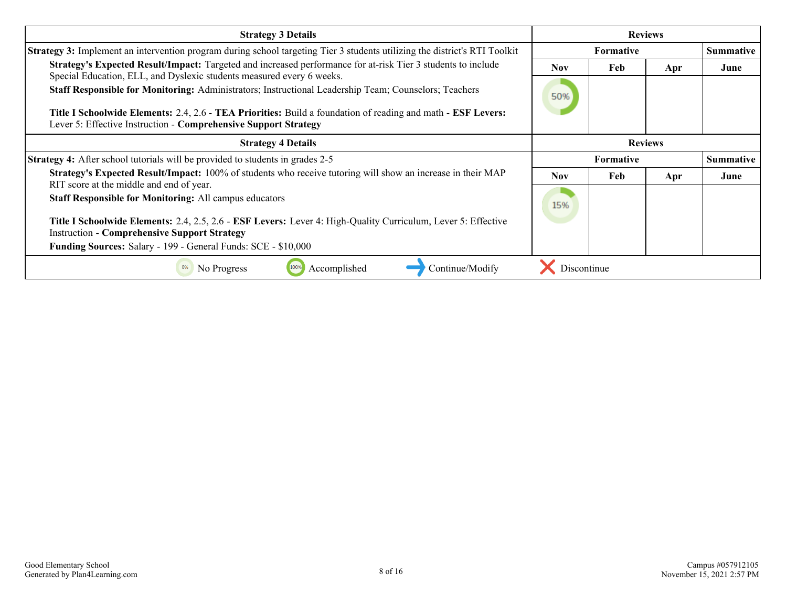| <b>Strategy 3 Details</b>                                                                                                                                                                                                             | <b>Reviews</b> |                  |     |                  |
|---------------------------------------------------------------------------------------------------------------------------------------------------------------------------------------------------------------------------------------|----------------|------------------|-----|------------------|
| <b>Strategy 3:</b> Implement an intervention program during school targeting Tier 3 students utilizing the district's RTI Toolkit                                                                                                     |                | <b>Summative</b> |     |                  |
| Strategy's Expected Result/Impact: Targeted and increased performance for at-risk Tier 3 students to include                                                                                                                          | <b>Nov</b>     | Feb              | Apr | June             |
| Special Education, ELL, and Dyslexic students measured every 6 weeks.<br>Staff Responsible for Monitoring: Administrators; Instructional Leadership Team; Counselors; Teachers                                                        | 50%            |                  |     |                  |
| <b>Title I Schoolwide Elements:</b> 2.4, 2.6 - <b>TEA Priorities:</b> Build a foundation of reading and math - <b>ESF Levers:</b><br>Lever 5: Effective Instruction - Comprehensive Support Strategy                                  |                |                  |     |                  |
| <b>Strategy 4 Details</b>                                                                                                                                                                                                             | <b>Reviews</b> |                  |     |                  |
| <b>Strategy 4:</b> After school tutorials will be provided to students in grades 2-5                                                                                                                                                  | Formative      |                  |     | <b>Summative</b> |
| Strategy's Expected Result/Impact: 100% of students who receive tutoring will show an increase in their MAP<br>RIT score at the middle and end of year.                                                                               | <b>Nov</b>     | <b>Feb</b>       | Apr | June             |
| <b>Staff Responsible for Monitoring: All campus educators</b>                                                                                                                                                                         | 15%            |                  |     |                  |
| Title I Schoolwide Elements: 2.4, 2.5, 2.6 - ESF Levers: Lever 4: High-Quality Curriculum, Lever 5: Effective<br><b>Instruction - Comprehensive Support Strategy</b><br>Funding Sources: Salary - 199 - General Funds: SCE - \$10,000 |                |                  |     |                  |
| Continue/Modify<br>No Progress<br>Accomplished<br>100%<br>0%                                                                                                                                                                          | Discontinue    |                  |     |                  |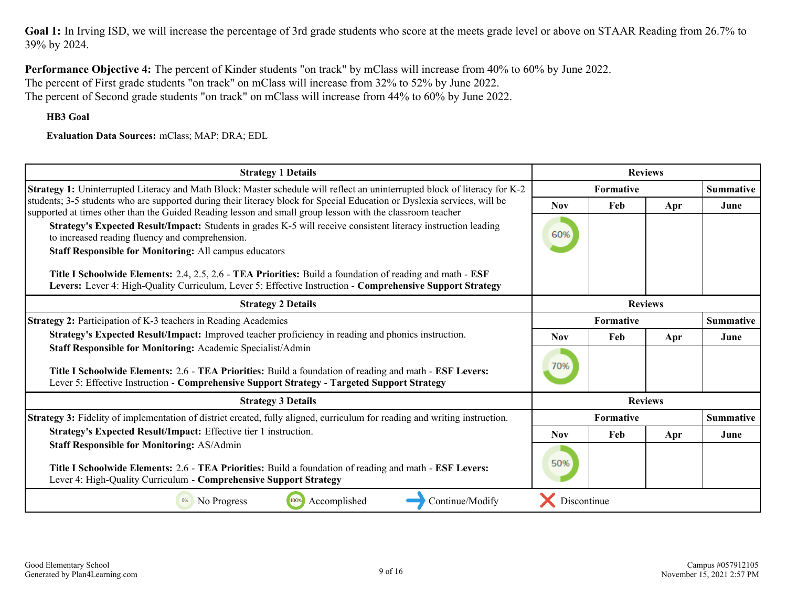Goal 1: In Irving ISD, we will increase the percentage of 3rd grade students who score at the meets grade level or above on STAAR Reading from 26.7% to 39% by 2024.

**Performance Objective 4:** The percent of Kinder students "on track" by mClass will increase from 40% to 60% by June 2022. The percent of First grade students "on track" on mClass will increase from 32% to 52% by June 2022. The percent of Second grade students "on track" on mClass will increase from 44% to 60% by June 2022.

**HB3 Goal**

**Evaluation Data Sources:** mClass; MAP; DRA; EDL

| <b>Strategy 1 Details</b>                                                                                                                                                                                                                                             | <b>Reviews</b>   |                  |                |                  |  |
|-----------------------------------------------------------------------------------------------------------------------------------------------------------------------------------------------------------------------------------------------------------------------|------------------|------------------|----------------|------------------|--|
| Strategy 1: Uninterrupted Literacy and Math Block: Master schedule will reflect an uninterrupted block of literacy for K-2                                                                                                                                            |                  | <b>Formative</b> |                |                  |  |
| students; 3-5 students who are supported during their literacy block for Special Education or Dyslexia services, will be<br>supported at times other than the Guided Reading lesson and small group lesson with the classroom teacher                                 | <b>Nov</b>       | Feb              | Apr            | June             |  |
| Strategy's Expected Result/Impact: Students in grades K-5 will receive consistent literacy instruction leading<br>to increased reading fluency and comprehension.                                                                                                     | 60%              |                  |                |                  |  |
| <b>Staff Responsible for Monitoring: All campus educators</b>                                                                                                                                                                                                         |                  |                  |                |                  |  |
| Title I Schoolwide Elements: 2.4, 2.5, 2.6 - TEA Priorities: Build a foundation of reading and math - ESF<br>Levers: Lever 4: High-Quality Curriculum, Lever 5: Effective Instruction - Comprehensive Support Strategy                                                |                  |                  |                |                  |  |
| <b>Strategy 2 Details</b>                                                                                                                                                                                                                                             | <b>Reviews</b>   |                  |                |                  |  |
| <b>Strategy 2: Participation of K-3 teachers in Reading Academies</b>                                                                                                                                                                                                 | <b>Formative</b> |                  |                | <b>Summative</b> |  |
| Strategy's Expected Result/Impact: Improved teacher proficiency in reading and phonics instruction.                                                                                                                                                                   | <b>Nov</b>       | Feb              | Apr            | June             |  |
| Staff Responsible for Monitoring: Academic Specialist/Admin<br>Title I Schoolwide Elements: 2.6 - TEA Priorities: Build a foundation of reading and math - ESF Levers:<br>Lever 5: Effective Instruction - Comprehensive Support Strategy - Targeted Support Strategy | 70%              |                  |                |                  |  |
| <b>Strategy 3 Details</b>                                                                                                                                                                                                                                             |                  |                  | <b>Reviews</b> |                  |  |
| Strategy 3: Fidelity of implementation of district created, fully aligned, curriculum for reading and writing instruction.                                                                                                                                            |                  | <b>Formative</b> |                | <b>Summative</b> |  |
| Strategy's Expected Result/Impact: Effective tier 1 instruction.                                                                                                                                                                                                      | <b>Nov</b>       | Feb              | Apr            | June             |  |
| <b>Staff Responsible for Monitoring: AS/Admin</b><br>Title I Schoolwide Elements: 2.6 - TEA Priorities: Build a foundation of reading and math - ESF Levers:<br>Lever 4: High-Quality Curriculum - Comprehensive Support Strategy                                     | 50%              |                  |                |                  |  |
| 100%<br>Accomplished<br>Continue/Modify<br>No Progress                                                                                                                                                                                                                | Discontinue      |                  |                |                  |  |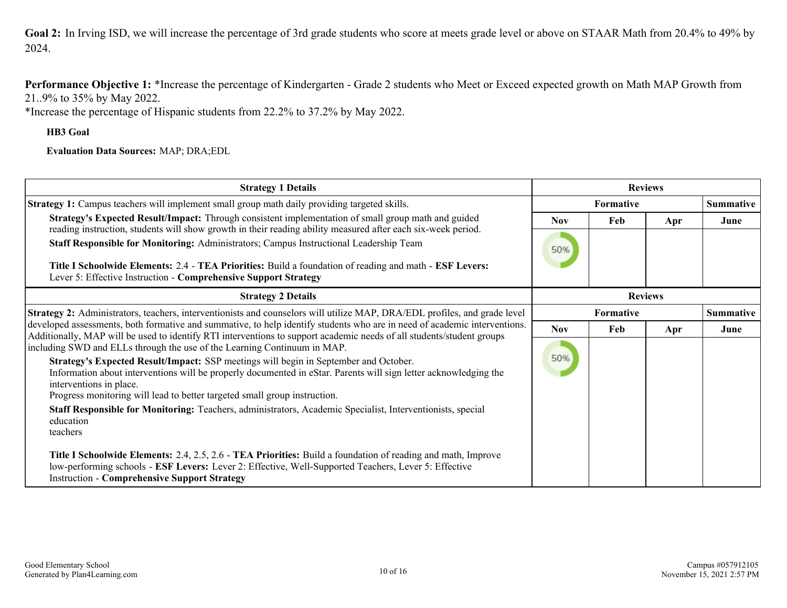<span id="page-9-0"></span>Goal 2: In Irving ISD, we will increase the percentage of 3rd grade students who score at meets grade level or above on STAAR Math from 20.4% to 49% by 2024.

**Performance Objective 1:** \*Increase the percentage of Kindergarten - Grade 2 students who Meet or Exceed expected growth on Math MAP Growth from 21..9% to 35% by May 2022.

\*Increase the percentage of Hispanic students from 22.2% to 37.2% by May 2022.

**HB3 Goal**

**Evaluation Data Sources:** MAP; DRA;EDL

| <b>Strategy 1 Details</b>                                                                                                                                                                                                                                                                                                                                                                                                                                                                                                                                                                                                                                                                                                                                                                                                                                                                                 | <b>Reviews</b>    |                  |     |                  |
|-----------------------------------------------------------------------------------------------------------------------------------------------------------------------------------------------------------------------------------------------------------------------------------------------------------------------------------------------------------------------------------------------------------------------------------------------------------------------------------------------------------------------------------------------------------------------------------------------------------------------------------------------------------------------------------------------------------------------------------------------------------------------------------------------------------------------------------------------------------------------------------------------------------|-------------------|------------------|-----|------------------|
| <b>Strategy 1:</b> Campus teachers will implement small group math daily providing targeted skills.                                                                                                                                                                                                                                                                                                                                                                                                                                                                                                                                                                                                                                                                                                                                                                                                       |                   | <b>Formative</b> |     | <b>Summative</b> |
| Strategy's Expected Result/Impact: Through consistent implementation of small group math and guided<br>reading instruction, students will show growth in their reading ability measured after each six-week period.<br>Staff Responsible for Monitoring: Administrators; Campus Instructional Leadership Team                                                                                                                                                                                                                                                                                                                                                                                                                                                                                                                                                                                             | <b>Nov</b><br>50% | Feb              | Apr | June             |
| Title I Schoolwide Elements: 2.4 - TEA Priorities: Build a foundation of reading and math - ESF Levers:<br>Lever 5: Effective Instruction - Comprehensive Support Strategy                                                                                                                                                                                                                                                                                                                                                                                                                                                                                                                                                                                                                                                                                                                                |                   |                  |     |                  |
| <b>Strategy 2 Details</b>                                                                                                                                                                                                                                                                                                                                                                                                                                                                                                                                                                                                                                                                                                                                                                                                                                                                                 | <b>Reviews</b>    |                  |     |                  |
| <b>Strategy 2:</b> Administrators, teachers, interventionists and counselors will utilize MAP, DRA/EDL profiles, and grade level                                                                                                                                                                                                                                                                                                                                                                                                                                                                                                                                                                                                                                                                                                                                                                          | Formative         |                  |     | <b>Summative</b> |
| developed assessments, both formative and summative, to help identify students who are in need of academic interventions.<br>Additionally, MAP will be used to identify RTI interventions to support academic needs of all students/student groups<br>including SWD and ELLs through the use of the Learning Continuum in MAP.<br>Strategy's Expected Result/Impact: SSP meetings will begin in September and October.<br>Information about interventions will be properly documented in eStar. Parents will sign letter acknowledging the<br>interventions in place.<br>Progress monitoring will lead to better targeted small group instruction.<br>Staff Responsible for Monitoring: Teachers, administrators, Academic Specialist, Interventionists, special<br>education<br>teachers<br>Title I Schoolwide Elements: 2.4, 2.5, 2.6 - TEA Priorities: Build a foundation of reading and math, Improve | <b>Nov</b><br>50% | Feb              | Apr | June             |
| low-performing schools - <b>ESF Levers:</b> Lever 2: Effective, Well-Supported Teachers, Lever 5: Effective<br><b>Instruction - Comprehensive Support Strategy</b>                                                                                                                                                                                                                                                                                                                                                                                                                                                                                                                                                                                                                                                                                                                                        |                   |                  |     |                  |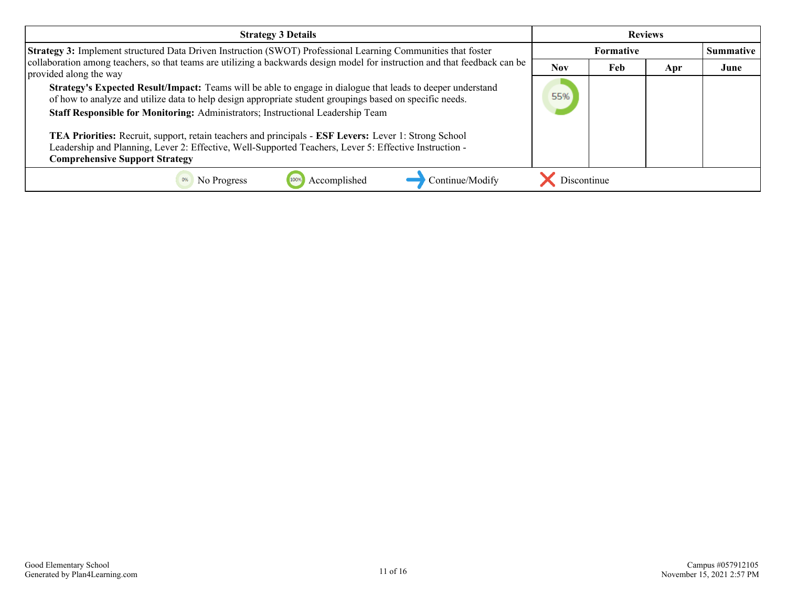| <b>Strategy 3 Details</b>                                                                                                                                                                                                                                                                                                                                                                                                                                                                                                                                              | <b>Reviews</b> |                  |     |                  |
|------------------------------------------------------------------------------------------------------------------------------------------------------------------------------------------------------------------------------------------------------------------------------------------------------------------------------------------------------------------------------------------------------------------------------------------------------------------------------------------------------------------------------------------------------------------------|----------------|------------------|-----|------------------|
| <b>Strategy 3:</b> Implement structured Data Driven Instruction (SWOT) Professional Learning Communities that foster                                                                                                                                                                                                                                                                                                                                                                                                                                                   |                | <b>Formative</b> |     | <b>Summative</b> |
| collaboration among teachers, so that teams are utilizing a backwards design model for instruction and that feedback can be<br>provided along the way                                                                                                                                                                                                                                                                                                                                                                                                                  | <b>Nov</b>     | Feb              | Apr | June             |
| Strategy's Expected Result/Impact: Teams will be able to engage in dialogue that leads to deeper understand<br>of how to analyze and utilize data to help design appropriate student groupings based on specific needs.<br>Staff Responsible for Monitoring: Administrators; Instructional Leadership Team<br>TEA Priorities: Recruit, support, retain teachers and principals - ESF Levers: Lever 1: Strong School<br>Leadership and Planning, Lever 2: Effective, Well-Supported Teachers, Lever 5: Effective Instruction -<br><b>Comprehensive Support Strategy</b> | 55%            |                  |     |                  |
| Continue/Modify<br>No Progress<br>Accomplished                                                                                                                                                                                                                                                                                                                                                                                                                                                                                                                         | Discontinue    |                  |     |                  |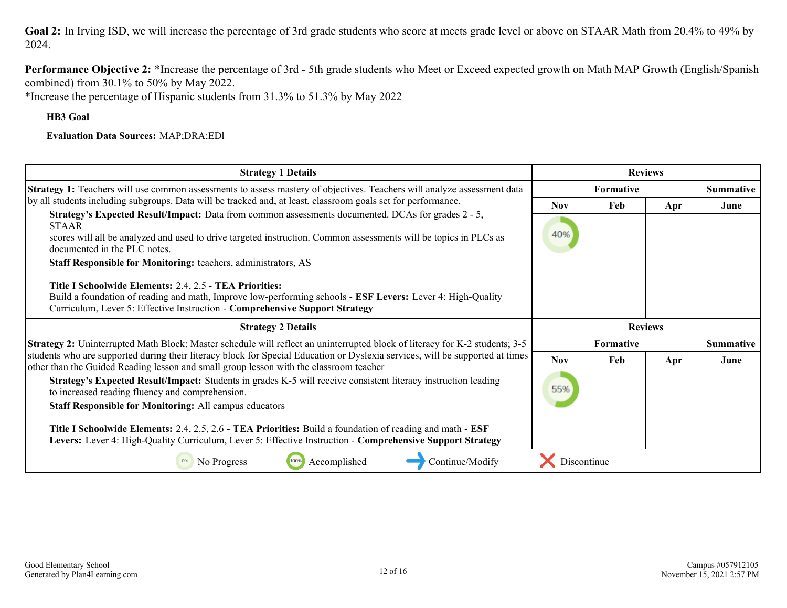Goal 2: In Irving ISD, we will increase the percentage of 3rd grade students who score at meets grade level or above on STAAR Math from 20.4% to 49% by 2024.

**Performance Objective 2:** \*Increase the percentage of 3rd - 5th grade students who Meet or Exceed expected growth on Math MAP Growth (English/Spanish combined) from 30.1% to 50% by May 2022.

\*Increase the percentage of Hispanic students from 31.3% to 51.3% by May 2022

**HB3 Goal**

**Evaluation Data Sources:** MAP;DRA;EDl

| <b>Strategy 1 Details</b>                                                                                                                                                                                                                                   | <b>Reviews</b> |                  |     |                  |
|-------------------------------------------------------------------------------------------------------------------------------------------------------------------------------------------------------------------------------------------------------------|----------------|------------------|-----|------------------|
| Strategy 1: Teachers will use common assessments to assess mastery of objectives. Teachers will analyze assessment data                                                                                                                                     |                | <b>Formative</b> |     | <b>Summative</b> |
| by all students including subgroups. Data will be tracked and, at least, classroom goals set for performance.                                                                                                                                               | <b>Nov</b>     | Feb              | Apr | June             |
| <b>Strategy's Expected Result/Impact:</b> Data from common assessments documented. DCAs for grades 2 - 5,<br><b>STAAR</b>                                                                                                                                   |                |                  |     |                  |
| scores will all be analyzed and used to drive targeted instruction. Common assessments will be topics in PLCs as<br>documented in the PLC notes.                                                                                                            | 40%            |                  |     |                  |
| Staff Responsible for Monitoring: teachers, administrators, AS                                                                                                                                                                                              |                |                  |     |                  |
| Title I Schoolwide Elements: 2.4, 2.5 - TEA Priorities:<br>Build a foundation of reading and math, Improve low-performing schools - ESF Levers: Lever 4: High-Quality<br>Curriculum, Lever 5: Effective Instruction - Comprehensive Support Strategy        |                |                  |     |                  |
|                                                                                                                                                                                                                                                             |                |                  |     |                  |
| <b>Strategy 2 Details</b>                                                                                                                                                                                                                                   |                | <b>Reviews</b>   |     |                  |
| Strategy 2: Uninterrupted Math Block: Master schedule will reflect an uninterrupted block of literacy for K-2 students; 3-5                                                                                                                                 |                | <b>Formative</b> |     | <b>Summative</b> |
| students who are supported during their literacy block for Special Education or Dyslexia services, will be supported at times                                                                                                                               | <b>Nov</b>     | Feb              | Apr | June             |
| other than the Guided Reading lesson and small group lesson with the classroom teacher<br>Strategy's Expected Result/Impact: Students in grades K-5 will receive consistent literacy instruction leading<br>to increased reading fluency and comprehension. | 55%            |                  |     |                  |
| <b>Staff Responsible for Monitoring: All campus educators</b>                                                                                                                                                                                               |                |                  |     |                  |
| Title I Schoolwide Elements: 2.4, 2.5, 2.6 - TEA Priorities: Build a foundation of reading and math - ESF<br>Levers: Lever 4: High-Quality Curriculum, Lever 5: Effective Instruction - Comprehensive Support Strategy                                      |                |                  |     |                  |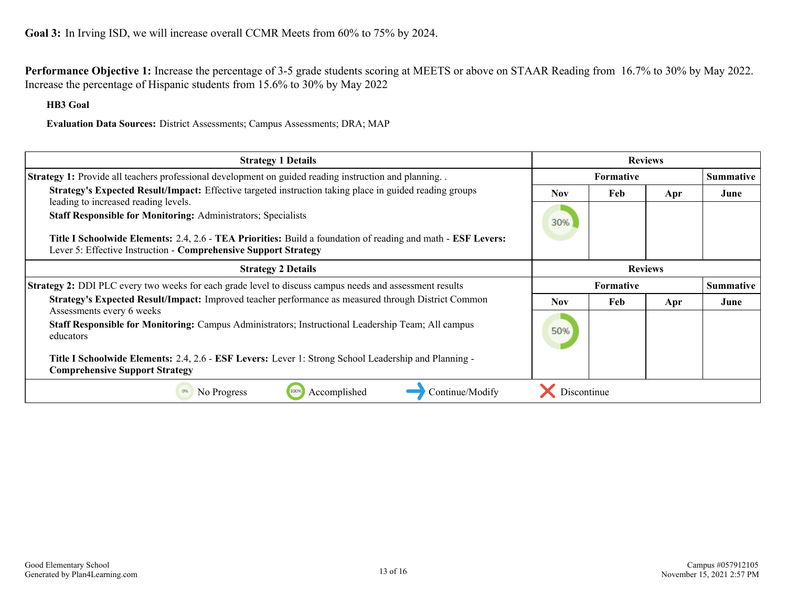<span id="page-12-0"></span>**Performance Objective 1:** Increase the percentage of 3-5 grade students scoring at MEETS or above on STAAR Reading from 16.7% to 30% by May 2022. Increase the percentage of Hispanic students from 15.6% to 30% by May 2022

**HB3 Goal**

**Evaluation Data Sources:** District Assessments; Campus Assessments; DRA; MAP

| <b>Strategy 1 Details</b>                                                                                                                                                                                               | <b>Reviews</b> |                  |                |                  |
|-------------------------------------------------------------------------------------------------------------------------------------------------------------------------------------------------------------------------|----------------|------------------|----------------|------------------|
| Strategy 1: Provide all teachers professional development on guided reading instruction and planning                                                                                                                    |                | <b>Formative</b> |                | <b>Summative</b> |
| Strategy's Expected Result/Impact: Effective targeted instruction taking place in guided reading groups<br>leading to increased reading levels.<br><b>Staff Responsible for Monitoring: Administrators; Specialists</b> | Nov.           | Feb              | Apr            | June             |
| Title I Schoolwide Elements: 2.4, 2.6 - TEA Priorities: Build a foundation of reading and math - ESF Levers:<br>Lever 5: Effective Instruction - Comprehensive Support Strategy                                         | 30%            |                  |                |                  |
| <b>Strategy 2 Details</b>                                                                                                                                                                                               |                |                  | <b>Reviews</b> |                  |
| <b>Strategy 2:</b> DDI PLC every two weeks for each grade level to discuss campus needs and assessment results                                                                                                          |                | <b>Formative</b> |                | <b>Summative</b> |
| Strategy's Expected Result/Impact: Improved teacher performance as measured through District Common<br>Assessments every 6 weeks                                                                                        | <b>Nov</b>     | Feb              | Apr            | June             |
| Staff Responsible for Monitoring: Campus Administrators; Instructional Leadership Team; All campus<br>educators                                                                                                         | 50%            |                  |                |                  |
| Title I Schoolwide Elements: 2.4, 2.6 - ESF Levers: Lever 1: Strong School Leadership and Planning -<br><b>Comprehensive Support Strategy</b>                                                                           |                |                  |                |                  |
| Accomplished<br>No Progress<br>Continue/Modify                                                                                                                                                                          | Discontinue    |                  |                |                  |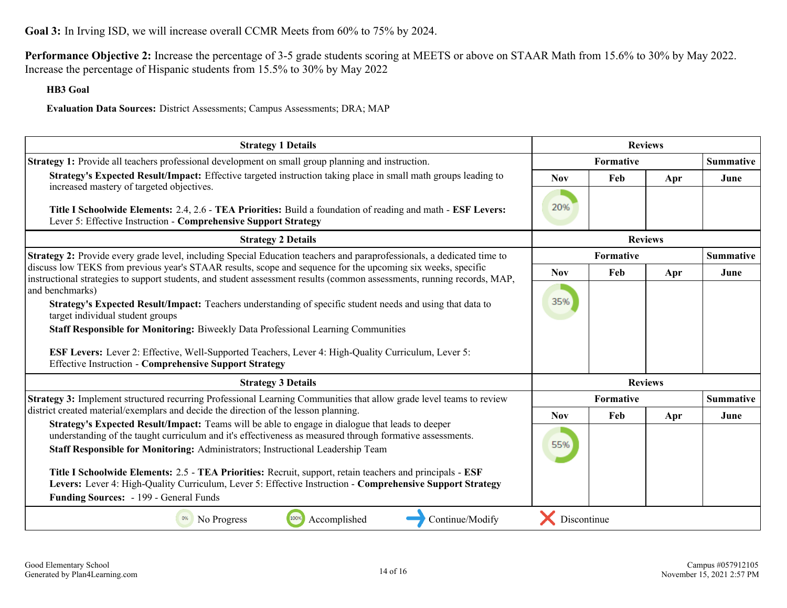**Goal 3:** In Irving ISD, we will increase overall CCMR Meets from 60% to 75% by 2024.

**Performance Objective 2:** Increase the percentage of 3-5 grade students scoring at MEETS or above on STAAR Math from 15.6% to 30% by May 2022. Increase the percentage of Hispanic students from 15.5% to 30% by May 2022

### **HB3 Goal**

**Evaluation Data Sources:** District Assessments; Campus Assessments; DRA; MAP

| <b>Strategy 1 Details</b>                                                                                                                                                                                                                                        | <b>Reviews</b>   |                  |                |                  |
|------------------------------------------------------------------------------------------------------------------------------------------------------------------------------------------------------------------------------------------------------------------|------------------|------------------|----------------|------------------|
| Strategy 1: Provide all teachers professional development on small group planning and instruction.                                                                                                                                                               | <b>Formative</b> |                  |                | <b>Summative</b> |
| Strategy's Expected Result/Impact: Effective targeted instruction taking place in small math groups leading to                                                                                                                                                   | <b>Nov</b>       | Feb              | Apr            | June             |
| increased mastery of targeted objectives.<br>Title I Schoolwide Elements: 2.4, 2.6 - TEA Priorities: Build a foundation of reading and math - ESF Levers:<br>Lever 5: Effective Instruction - Comprehensive Support Strategy                                     | 20%              |                  |                |                  |
| <b>Strategy 2 Details</b>                                                                                                                                                                                                                                        |                  |                  | <b>Reviews</b> |                  |
| Strategy 2: Provide every grade level, including Special Education teachers and paraprofessionals, a dedicated time to                                                                                                                                           |                  | Formative        |                | <b>Summative</b> |
| discuss low TEKS from previous year's STAAR results, scope and sequence for the upcoming six weeks, specific<br>instructional strategies to support students, and student assessment results (common assessments, running records, MAP,                          | <b>Nov</b>       | Feb              | Apr            | June             |
| and benchmarks)                                                                                                                                                                                                                                                  |                  |                  |                |                  |
| Strategy's Expected Result/Impact: Teachers understanding of specific student needs and using that data to<br>target individual student groups                                                                                                                   | 35%              |                  |                |                  |
| Staff Responsible for Monitoring: Biweekly Data Professional Learning Communities                                                                                                                                                                                |                  |                  |                |                  |
| <b>ESF Levers:</b> Lever 2: Effective, Well-Supported Teachers, Lever 4: High-Quality Curriculum, Lever 5:<br><b>Effective Instruction - Comprehensive Support Strategy</b>                                                                                      |                  |                  |                |                  |
| <b>Strategy 3 Details</b>                                                                                                                                                                                                                                        |                  |                  | <b>Reviews</b> |                  |
| Strategy 3: Implement structured recurring Professional Learning Communities that allow grade level teams to review                                                                                                                                              |                  | <b>Formative</b> |                | <b>Summative</b> |
| district created material/exemplars and decide the direction of the lesson planning.<br>Strategy's Expected Result/Impact: Teams will be able to engage in dialogue that leads to deeper                                                                         | <b>Nov</b>       | Feb              | Apr            | June             |
| understanding of the taught curriculum and it's effectiveness as measured through formative assessments.                                                                                                                                                         |                  |                  |                |                  |
| Staff Responsible for Monitoring: Administrators; Instructional Leadership Team                                                                                                                                                                                  | 55%              |                  |                |                  |
| Title I Schoolwide Elements: 2.5 - TEA Priorities: Recruit, support, retain teachers and principals - ESF<br>Levers: Lever 4: High-Quality Curriculum, Lever 5: Effective Instruction - Comprehensive Support Strategy<br>Funding Sources: - 199 - General Funds |                  |                  |                |                  |
| 100%<br>Accomplished<br>0%<br>No Progress<br>Continue/Modify                                                                                                                                                                                                     | Discontinue      |                  |                |                  |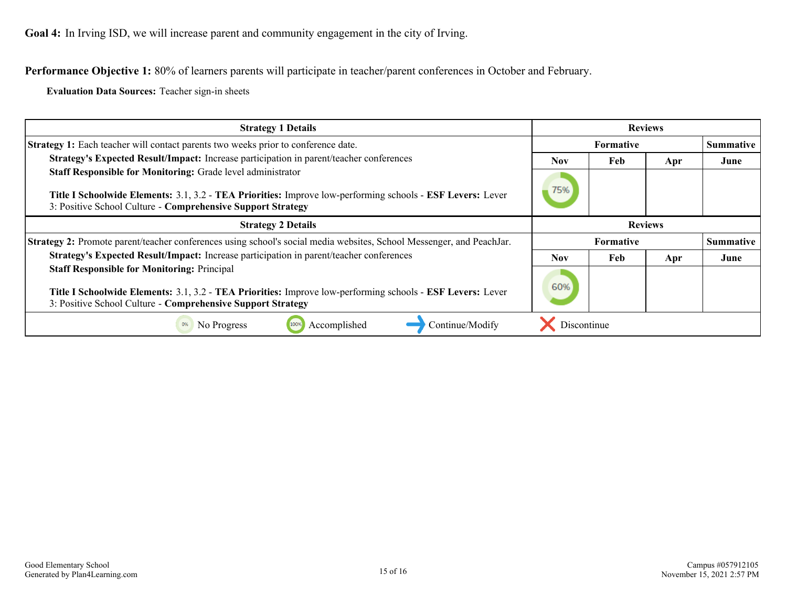<span id="page-14-0"></span>**Performance Objective 1:** 80% of learners parents will participate in teacher/parent conferences in October and February.

**Evaluation Data Sources:** Teacher sign-in sheets

| <b>Strategy 1 Details</b>                                                                                                                                                 | <b>Reviews</b>                |     |     |                  |
|---------------------------------------------------------------------------------------------------------------------------------------------------------------------------|-------------------------------|-----|-----|------------------|
| Strategy 1: Each teacher will contact parents two weeks prior to conference date.                                                                                         | <b>Formative</b>              |     |     | <b>Summative</b> |
| Strategy's Expected Result/Impact: Increase participation in parent/teacher conferences                                                                                   | <b>Nov</b>                    | Feb | Apr | June             |
| Staff Responsible for Monitoring: Grade level administrator                                                                                                               |                               |     |     |                  |
| Title I Schoolwide Elements: 3.1, 3.2 - TEA Priorities: Improve low-performing schools - ESF Levers: Lever<br>3: Positive School Culture - Comprehensive Support Strategy | 75%                           |     |     |                  |
| <b>Strategy 2 Details</b>                                                                                                                                                 | <b>Reviews</b>                |     |     |                  |
| Strategy 2: Promote parent/teacher conferences using school's social media websites, School Messenger, and PeachJar.                                                      | Summative<br><b>Formative</b> |     |     |                  |
| Strategy's Expected Result/Impact: Increase participation in parent/teacher conferences                                                                                   |                               | Feb | Apr | June             |
| <b>Staff Responsible for Monitoring: Principal</b>                                                                                                                        |                               |     |     |                  |
| Title I Schoolwide Elements: 3.1, 3.2 - TEA Priorities: Improve low-performing schools - ESF Levers: Lever                                                                | 60%                           |     |     |                  |
| 3: Positive School Culture - Comprehensive Support Strategy                                                                                                               |                               |     |     |                  |
| Accomplished<br>0%<br>100%<br>Continue/Modify<br>No Progress                                                                                                              | Discontinue                   |     |     |                  |